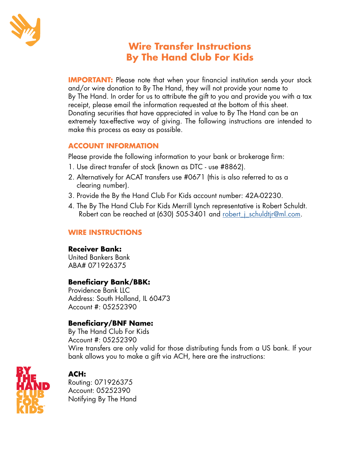

# **Wire Transfer Instructions By The Hand Club For Kids**

**IMPORTANT:** Please note that when your financial institution sends your stock and/or wire donation to By The Hand, they will not provide your name to By The Hand. In order for us to attribute the gift to you and provide you with a tax receipt, please email the information requested at the bottom of this sheet. Donating securities that have appreciated in value to By The Hand can be an extremely tax-effective way of giving. The following instructions are intended to make this process as easy as possible.

#### **ACCOUNT INFORMATION**

Please provide the following information to your bank or brokerage firm:

- 1. Use direct transfer of stock (known as DTC use #8862).
- 2. Alternatively for ACAT transfers use #0671 (this is also referred to as a clearing number).
- 3. Provide the By the Hand Club For Kids account number: 42A-02230.
- 4. The By The Hand Club For Kids Merrill Lynch representative is Robert Schuldt. Robert can be reached at (630) 505-3401 and robert *j* schuldtjr@ml.com.

## **WIRE INSTRUCTIONS**

## **Receiver Bank:**

United Bankers Bank ABA# 071926375

# **Beneficiary Bank/BBK:**

Providence Bank LLC Address: South Holland, IL 60473 Account #: 05252390

# **Beneficiary/BNF Name:**

By The Hand Club For Kids Account #: 05252390 Wire transfers are only valid for those distributing funds from a US bank. If your bank allows you to make a gift via ACH, here are the instructions:



# **ACH:**

Routing: 071926375 Account: 05252390 Notifying By The Hand